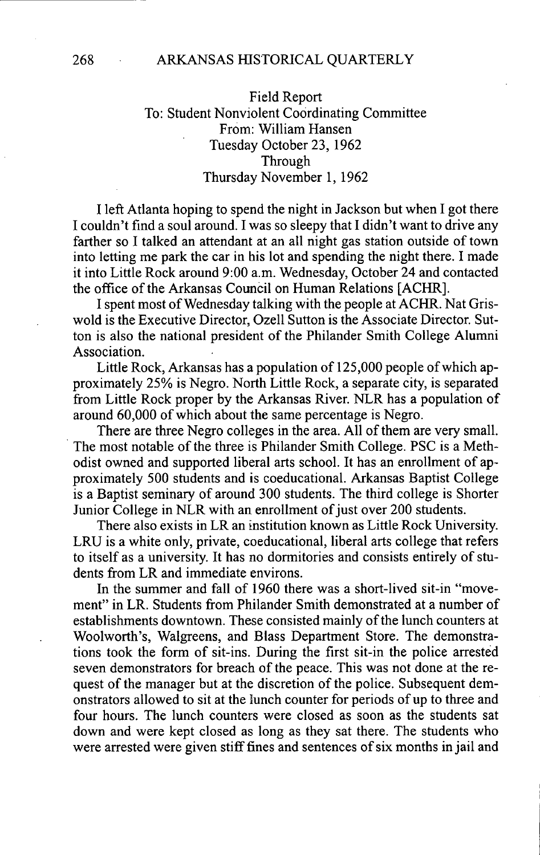### 268 ARKANSAS HISTORICAL QUARTERLY

# Field Report To: Student Nonviolent Coordinating Committee From: William Hansen Tuesday October 23, 1962 Through Thursday November 1, 1962

I left Atlanta hoping to spend the night in Jackson but when I got there I couldn't find a soul around. I was so sleepy that I didn't want to drive any farther so I talked an attendant at an all night gas station outside of town into letting me park the car in his lot and spending the night there. I made it into Little Rock around 9:00 a.m. Wednesday, October 24 and contacted the office of the Arkansas Council on Human Relations [ACHR].

I spent most of Wednesday talking with the people at ACHR. Nat Griswold is the Executive Director, Ozell Sutton is the Associate Director. Sutton is also the national president of the Philander Smith College Alumni Association.

Little Rock, Arkansas has a population of 125,000 people of which approximately 25% is Negro. North Little Rock, a separate city, is separated from Little Rock proper by the Arkansas River. NLR has a population of around 60,000 of which about the same percentage is Negro.

There are three Negro colleges in the area. All of them are very small. The most notable of the three is Philander Smith College. PSC is a Methodist owned and supported liberal arts school. It has an enrollment of approximately 500 students and is coeducational. Arkansas Baptist College is a Baptist seminary of around 300 students. The third college is Shorter Junior College in NLR with an enrollment of just over 200 students.

There also exists in LR an institution known as Little Rock University. LRU is a white only, private, coeducational, liberal arts college that refers to itself as a university. It has no dormitories and consists entirely of students from LR and immediate environs.

In the summer and fall of 1960 there was a short-lived sit-in "movement" in LR. Students from Philander Smith demonstrated at a number of establishments downtown. These consisted mainly of the lunch counters at Woolworth's, Walgreens, and Blass Department Store. The demonstrations took the form of sit-ins. During the first sit-in the police arrested seven demonstrators for breach of the peace. This was not done at the request of the manager but at the discretion of the police. Subsequent demonstrators allowed to sit at the iunch counter for periods of up to three and four hours. The lunch counters were closed as soon as the students sat down and were kept closed as long as they sat there. The students who were arrested were given stiff fines and sentences of six months in jail and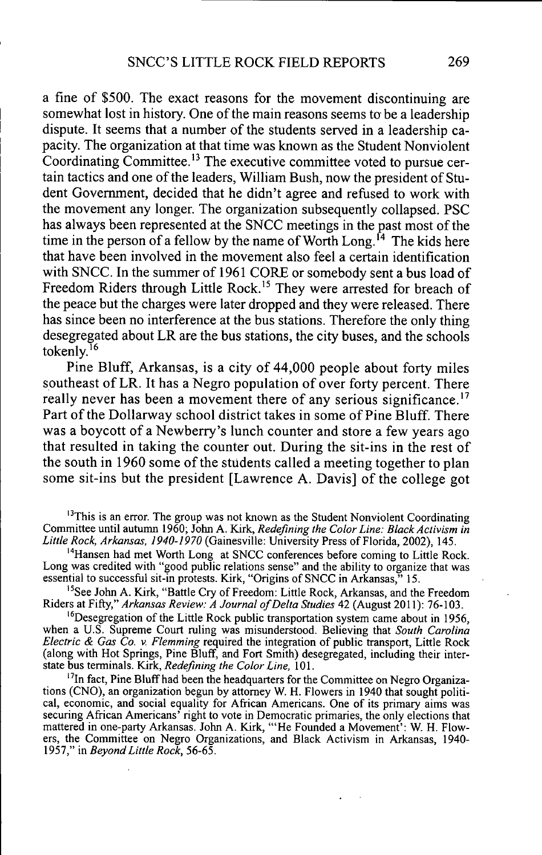a fine of \$500. The exact reasons for the movement discontinuing are somewhat lost in history. One of the main reasons seems to be a leadership dispute. It seems that a number of the students served in a leadership capacity. The organization at that time was known as the Student Nonviolent Coordinating Committee.<sup>13</sup> The executive committee voted to pursue certain tactics and one of the leaders, William Bush, now the president of Student Government, decided that he didn't agree and refused to work with the movement any longer. The organization subsequently collapsed. PSC has always been represented at the SNCC meetings in the past most of the time in the person of a fellow by the name of Worth Long.<sup> $14$ </sup> The kids here that have been involved in the movement also feel a certain identification with SNCC. In the summer of 1961 CORE or somebody sent a bus load of Freedom Riders through Little Rock.<sup>15</sup> They were arrested for breach of the peace but the charges were later dropped and they were released. There has since been no interference at the bus stations. Therefore the only thing desegregated about LR are the bus stations, the city buses, and the schools tokenly. $^{16}$ 

Pine Bluff, Arkansas, is a city of 44,000 people about forty miles southeast of LR. It has a Negro population of over forty percent. There really never has been a movement there of any serious significance.<sup>17</sup> Part of the Dollarway school district takes in some of Pine Bluff. There was a boycott of a Newberry's lunch counter and store a few years ago that resulted in taking the counter out. During the sit-ins in the rest of the south in 1960 some of the students called a meeting together to plan some sit-ins but the president [Lawrence A. Davis] of the college got

 $<sup>13</sup>$ This is an error. The group was not known as the Student Nonviolent Coordinating</sup> Committee until autumn 1960; John A. Kirk, *Redefining the Color Line: Black Activism in Little Rock, Arkansas, 1940-1970* (Gainesville: University Press of Florida, 2002), 145.

<sup>4</sup>Hansen had met Worth Long at SNCC conferences before coming to Little Rock. Long was credited with "good public relations sense" and the ability to organize that was essential to successful sit-in protests. Kirk, "Origins of SNCC in Arkansas," 15.

<sup>15</sup>See John A. Kirk, "Battle Cry of Freedom: Little Rock, Arkansas, and the Freedom Riders at Fifty," *Arkansas Review: A Journal of Delta Studies* 42 (August 2011): 76-103.

 $<sup>16</sup>Desegregion$  of the Little Rock public transportation system came about in 1956,</sup> when a U.S. Supreme Court ruling was misunderstood. Believing that *South Carolina Electric & Gas Co.* v. *Flemming* required the integration of public transport. Little Rock (along with Hot Springs, Pine Bluff, and Fort Smith) desegregated, including their interstate bus terminals. Kirk, *Redefining the Color Line,* 101.

<sup>17</sup>In fact, Pine Bluff had been the headquarters for the Committee on Negro Organizations (CNO), an organization begun by attorney W. H. Flowers in 1940 that sought political, economic, and social equality for African Americans. One of its primary aims was securing African Americans' right to vote in Democratic primaries, the only elections that mattered in one-party Arkansas. John A. Kirk, "'He Founded a Movement': W. H. Flowers, the Committee on Negro Organizations, and Black Activism in Arkansas, 1940- 1957," in *Beyond Little Rock,* 56-65.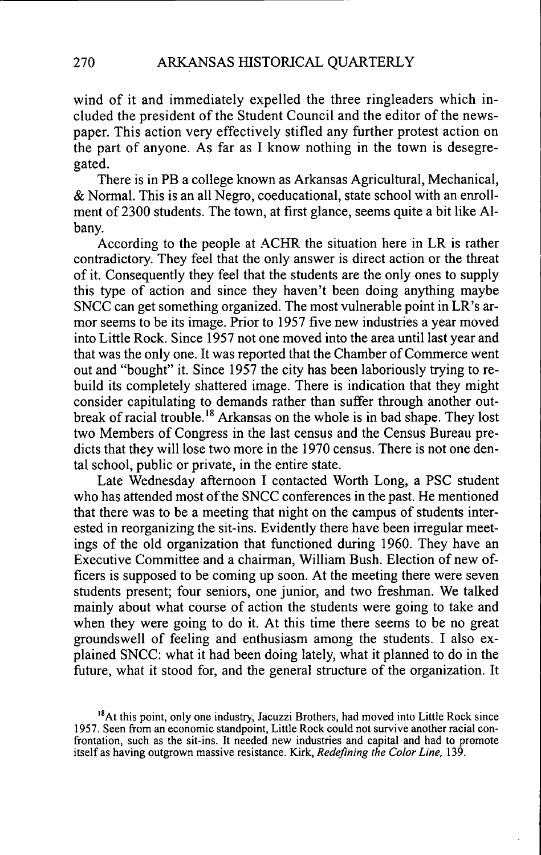wind of it and immediately expelled the three ringleaders which included the president of the Student Council and the editor of the newspaper. This action very effectively stifled any further protest action on the part of anyone. As far as I know nothing in the town is desegregated.

There is in PB a college known as Arkansas Agricultural, Mechanical, & Normal. This is an all Negro, coeducational, state school with an enrollment of 2300 students. The town, at first glance, seems quite a bit like Albany.

According to the people at ACHR the situation here in LR is rather contradictory. They feel that the only answer is direct action or the threat of it. Consequently they feel that the students are the only ones to supply this type of action and since they haven't been doing anything maybe SNCC can get something organized. The most vulnerable point in LR's armor seems to be its image. Prior to 1957 five new industries a year moved into Little Rock. Since 1957 not one moved into the area until last year and that was the only one. It was reported that the Chamber of Commerce went out and "bought" it. Since 1957 the city has been laboriously trying to rebuild its completely shattered image. There is indication that they might consider capitulating to demands rather than suffer through another outbreak of racial trouble.<sup>18</sup> Arkansas on the whole is in bad shape. They lost two Members of Congress in the last census and the Census Bureau predicts that they will lose two more in the 1970 census. There is not one dental school, public or private, in the entire state.

Late Wednesday aftemoon I contacted Worth Long, a PSC student who has attended most of the SNCC conferences in the past. He mentioned that there was to be a meeting that night on the campus of students interested in reorganizing the sit-ins. Evidently there have been irregular meetings of the old organization that functioned during 1960. They have an Executive Committee and a chairman, William Bush. Election of new officers is supposed to be coming up soon. At the meeting there were seven students present; four seniors, one junior, and two freshman. We talked mainly about what course of action the students were going to take and when they were going to do it. At this time there seems to be no great groundswell of feeling and enthusiasm among the students. I also explained SNCC: what it had been doing lately, what it planned to do in the future, what it stood for, and the general structure of the organization. It

<sup>&</sup>lt;sup>18</sup>At this point, only one industry, Jacuzzi Brothers, had moved into Little Rock since 1957. Seen from an economic standpoint, Little Rock could not survive another racial confrontation, such as the sit-ins. It needed new industries and capital and had to promote itself as having outgrown massive resistance. Kirk, *Redefining the Color Line,* 139.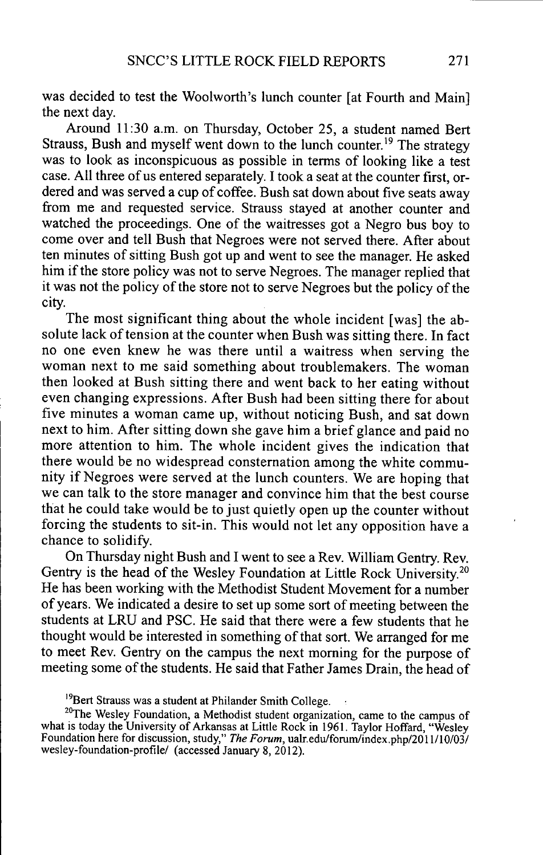was decided to test the Woolworth's lunch counter [at Fourth and Main] the next day.

Around 11:30 a.m. on Thursday, October 25, a student named Bert Strauss, Bush and myself went down to the lunch counter.<sup>19</sup> The strategy was to look as inconspicuous as possible in terms of looking like a test case. All three of us entered separately. I took a seat at the counter first, ordered and was served a cup of coffee. Bush sat down about five seats away from me and requested service. Strauss stayed at another counter and watched the proceedings. One of the waitresses got a Negro bus boy to come over and tell Bush that Negroes were not served there. After about ten minutes of sitting Bush got up and went to see the manager. He asked him if the store policy was not to serve Negroes. The manager replied that it was not the policy of the store not to serve Negroes but the policy of the city.

The most significant thing about the whole incident [was] the absolute lack of tension at the counter when Bush was sitting there. In fact no one even knew he was there until a waitress when serving the woman next to me said something about troublemakers. The woman then looked at Bush sitting there and went back to her eating without even changing expressions. After Bush had been sitting there for about five minutes a woman came up, without noticing Bush, and sat down next to him. After sitting down she gave him a brief glance and paid no more attention to him. The whole incident gives the indication that there would be no widespread consternation among the white community if Negroes were served at the lunch counters. We are hoping that we can talk to the store manager and convince him that the best course that he could take would be to just quietly open up the counter without forcing the students to sit-in. This would not let any opposition have a chance to solidify.

On Thursday night Bush and I went to see a Rev. William Gentry. Rev. Gentry is the head of the Wesley Foundation at Little Rock University.<sup>20</sup> He has been working with the Methodist Student Movement for a number of years. We indicated a desire to set up some sort of meeting between the students at LRU and PSC. He said that there were a few students that he thought would be interested in something of that sort. We arranged for me to meet Rev. Gentry on the campus the next morning for the purpose of meeting some of the students. He said that Father James Drain, the head of

<sup>&</sup>lt;sup>19</sup>Bert Strauss was a student at Philander Smith College.

<sup>&</sup>lt;sup>20</sup>The Wesley Foundation, a Methodist student organization, came to the campus of what is today the University of Arkansas at Little Rock in 1961. Taylor Hoffard, "Wesley Foundation here for discussion, study," *The Forum,* uah-.edu/forum/index,php/2011/10/03/ wesley-foundation-profile/ (accessed January 8, 2012).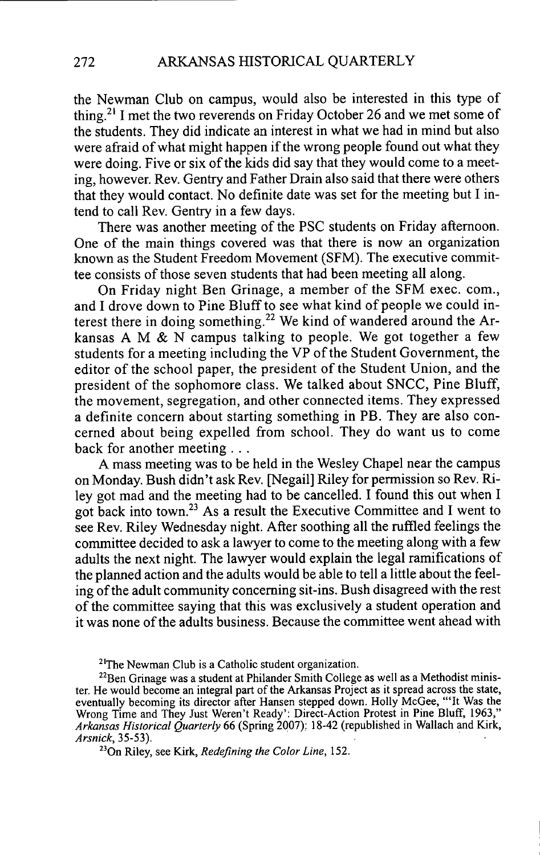the Newman Club on campus, would also be interested in this type of thing.<sup>21</sup> I met the two reverends on Friday October 26 and we met some of the students. They did indicate an interest in what we had in mind but also were afraid of what might happen if the wrong people found out what they were doing. Five or six of the kids did say that they would come to a meeting, however. Rev. Gentry and Father Drain also said that there were others that they would contact. No definite date was set for the meeting but I intend to call Rev. Gentry in a few days.

There was another meeting of the PSC students on Friday aftemoon. One of the main things covered was that there is now an organization known as the Student Freedom Movement (SFM). The executive committee consists of those seven students that had been meeting all along.

On Friday night Ben Grinage, a member of the SFM exec, com., and I drove down to Pine Bluff to see what kind of people we could interest there in doing something.<sup>22</sup> We kind of wandered around the Arkansas A M  $&$  N campus talking to people. We got together a few students for a meeting including the VP of the Student Government, the editor of the school paper, the president of the Student Union, and the president of the sophomore class. We talked about SNCC, Pine Bluff, the movement, segregation, and other connected items. They expressed a definite concern about starting something in PB. They are also concerned about being expelled from school. They do want us to come back for another meeting . . .

A mass meeting was to be held in the Wesley Chapel near the campus on Monday. Bush didn't ask Rev. [Negail] Riley for permission so Rev. Riley got mad and the meeting had to be cancelled. I found this out when I got back into town.<sup>23</sup> As a result the Executive Committee and I went to see Rev. Riley Wednesday night. After soothing all the ruffled feelings the committee decided to ask a lawyer to come to the meeting along with a few adults the next night. The lawyer would explain the legal ramifications of the planned action and the adults would be able to tell a little about the feeling of the adult community conceming sit-ins. Bush disagreed with the rest of the conmiittee saying that this was exclusively a student operation and it was none of the aduhs business. Because the committee went ahead with

 $2^{1}$ The Newman Club is a Catholic student organization.

 $22$ Ben Grinage was a student at Philander Smith College as well as a Methodist minister. He would become an integral part of the Arkansas Project as it spread across the state, eventually becoming its director after Hansen stepped down. Holly McGee, "'It Was the Wrong Time and They Just Weren't Ready': Direct-Action Protest in Pine Bluff, 1963," *Arkansas Historical Quarterly* 66 (Spring 2007): 18-42 (republished in Wallach and Kirk, *Arsnick, 35-53). •*

<sup>23</sup>On Riley, see Kirk, *Redefining the Color Line*, 152.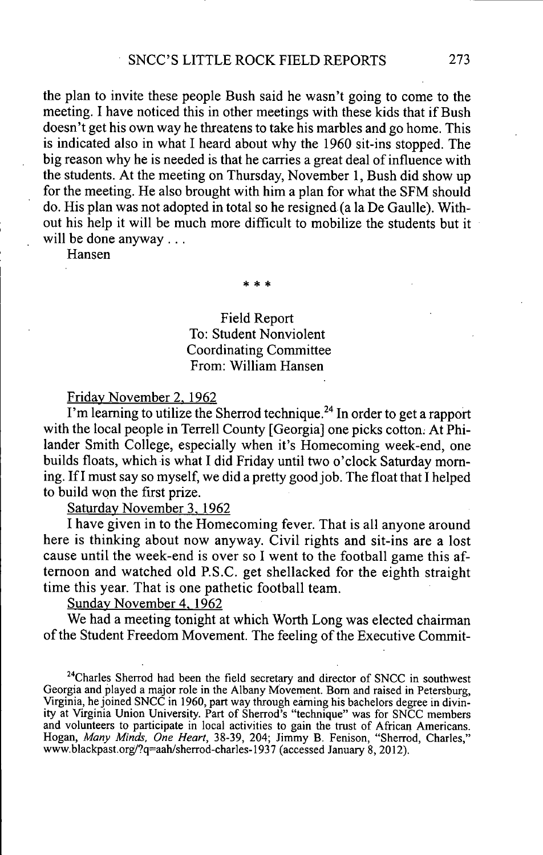the plan to invite these people Bush said he wasn't going to come to the meeting. I have noticed this in other meetings with these kids that if Bush doesn't get his own way he threatens to take his marbles and go home. This is indicated also in what I heard about why the 1960 sit-ins stopped. The big reason why he is needed is that he carries a great deal of influence with the students. At the meeting on Thursday, November 1, Bush did show up for the meeting. He also brought with him a plan for what the SFM should do. His plan was not adopted in total so he resigned (a la De Gaulle). Without his help it will be much more difficult to mobilize the students but it will be done anyway . . .

Hansen

**\* \* \***

## Field Report To: Student Nonviolent Coordinating Committee From: William Hansen

Fridav November 2. 1962

I'm learning to utilize the Sherrod technique.<sup> $24$ </sup> In order to get a rapport with the local people in Terrell County [Georgia] one picks cotton. At Philander Smith College, especially when it's Homecoming week-end, one builds floats, which is what I did Friday until two o'clock Saturday moming. If I must say so myself, we did a pretty good job. The float that I helped to build won the first prize.

Saturday November 3. 1962

I have given in to the Homecoming fever. That is all anyone around here is thinking about now anyway. Civil rights and sit-ins are a lost cause until the week-end is over so I went to the football game this aftemoon and watched old P.S.C. get shellacked for the eighth straight time this year. That is one pathetic football team.

Sunday November 4. 1962

We had a meeting tonight at which Worth Long was elected chairman of the Student Freedom Movement. The feeling of the Executive Commit-

 $^{24}$ Charles Sherrod had been the field secretary and director of SNCC in southwest Georgia and played a major role in the Albany Movement. Bom and raised in Petersburg, Virginia, he joined SNCC in 1960, part way through earning his bachelors degree in divinity at Virginia Union University. Part of Sherrod's "technique" was for SNCC members and volunteers to participate in local activities to gain the trust of African Americans. Hogan, *Many Minds, One Heart,* 38-39, 204; Jimmy B. Fenison, "Sherrod, Charles," www.blackpast.org/?q=aah/sherrod-charles-1937 (accessed January 8, 2012).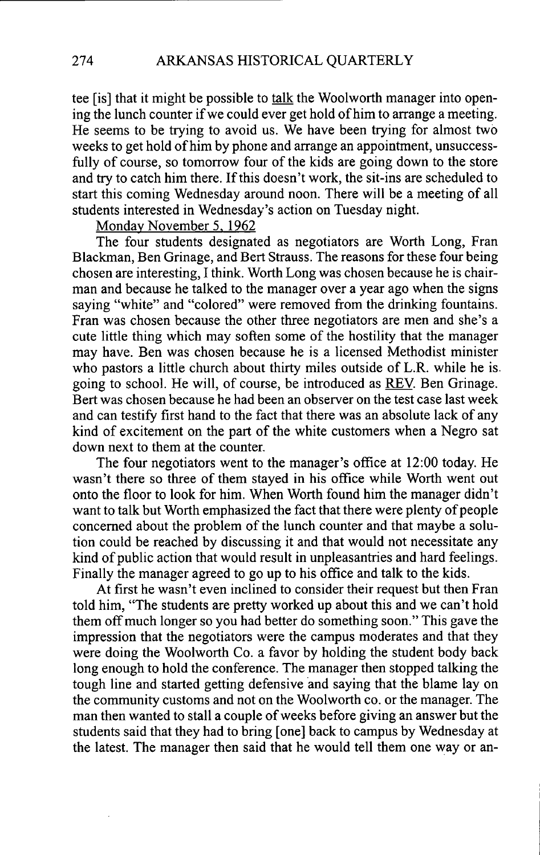tee [is] that it might be possible to talk the Woolworth manager into opening the lunch counter if we could ever get hold of him to arrange a meeting. He seems to be trying to avoid us. We have been trying for almost two weeks to get hold of him by phone and arrange an appointment, unsuccessfully of course, so tomorrow four of the kids are going down to the store and try to catch him there. If this doesn't work, the sit-ins are scheduled to start this coming Wednesday around noon. There will be a meeting of all students interested in Wednesday's action on Tuesday night.

Monday November 5. 1962

The four students designated as negotiators are Worth Long, Fran Blackman, Ben Grinage, and Bert Strauss. The reasons for these four being chosen are interesting, I think. Worth Long was chosen because he is chairman and because he talked to the manager over a year ago when the signs saying "white" and "colored" were removed from the drinking fountains. Fran was chosen because the other three negotiators are men and she's a cute little thing which may soften some of the hostility that the manager may have. Ben was chosen because he is a licensed Methodist minister who pastors a little church about thirty miles outside of L.R. while he is going to school. He will, of course, be introduced as REV. Ben Grinage. Bert was chosen because he had been an observer on the test case last week and can testify first hand to the fact that there was an absolute lack of any kind of excitement on the part of the white customers when a Negro sat down next to them at the counter.

The four negotiators went to the manager's office at 12:00 today. He wasn't there so three of them stayed in his office while Worth went out onto the floor to look for him. When Worth found him the manager didn't want to talk but Worth emphasized the fact that there were plenty of people concerned about the problem of the lunch counter and that maybe a solution could be reached by discussing it and that would not necessitate any kind of public action that would result in unpleasantries and hard feelings. Finally the manager agreed to go up to his office and talk to the kids.

At first he wasn't even inclined to consider their request but then Fran told him, "The students are pretty worked up about this and we can't hold them off much longer so you had better do something soon." This gave the impression that the negotiators were the campus moderates and that they were doing the Woolworth Co. a favor by holding the student body back long enough to hold the conference. The manager then stopped talking the tough line and started getting defensive and saying that the blame lay on the community customs and not on the Woolworth co. or the manager. The man then wanted to stall a couple of weeks before giving an answer but the students said that they had to bring [one] back to campus by Wednesday at the latest. The manager then said that he would tell them one way or an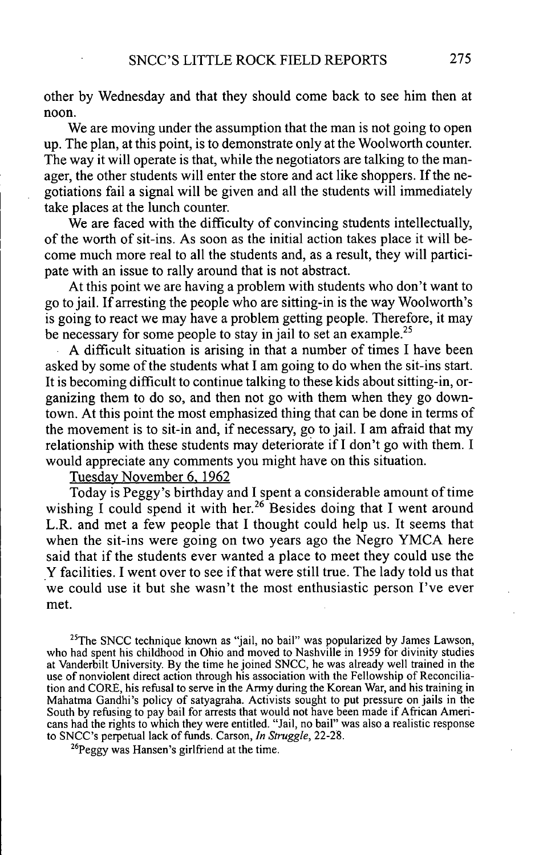other by Wednesday and that they should come back to see him then at noon.

We are moving under the assumption that the man is not going to open up. The plan, at this point, is to demonstrate only at the Woolworth counter. The way it will operate is that, while the negotiators are talking to the manager, the other students will enter the store and act like shoppers. If the negotiations fail a signal will be given and all the students will immediately take places at the lunch counter.

We are faced with the difficulty of convincing students intellectually, of the worth of sit-ins. As soon as the initial action takes place it will become much more real to all the students and, as a result, they will participate with an issue to rally around that is not abstract.

At this point we are having a problem with students who don't want to go to jail. If arresting the people who are sitting-in is the way Woolworth's is going to react we may have a problem getting people. Therefore, it may be necessary for some people to stay in jail to set an example.<sup>25</sup>

A difficult situation is arising in that a number of times I have been asked by some of the students what I am going to do when the sit-ins start. It is becoming difficult to continue talking to these kids about sitting-in, organizing them to do so, and then not go with them when they go downtown. At this point the most emphasized thing that can be done in terms of the movement is to sit-in and, if necessary, go to jail. I am afraid that my relationship with these students may deteriorate if I don't go with them. I would appreciate any comments you might have on this situation.

Tuesdav November 6. 1962

Today is Peggy's birthday and I spent a considerable amount of time wishing I could spend it with her.<sup>26</sup> Besides doing that I went around L.R. and met a few people that I thought could help us. It seems that when the sit-ins were going on two years ago the Negro YMCA here said that if the students ever wanted a place to meet they could use the Y facilities. I went over to see if that were still true. The lady told us that we could use it but she wasn't the most enthusiastic person I've ever met.

<sup>25</sup>The SNCC technique known as "jail, no bail" was popularized by James Lawson, who had spent his childhood in Ohio and moved to Nashville in 1959 for divinity studies at Vanderbilt University. By the time he joined SNCC, he was akeady well trained in the use of nonviolent direct action through his association with the Fellowship of Reconciliation and CORE, his refusal to serve in the Army during the Korean War, and his training in Mahatma Gandhi's policy of satyagraha. Activists sought to put pressure on jails in the South by refusing to pay bail for arrests that would not have been made if African Americans had the rights to which they were entitled. "Jail, no bail" was also a realistic response to SNCC's perpetual lack of ftmds. Carson, *In Struggle,* 22-28.

 $^{26}$ Peggy was Hansen's girlfriend at the time.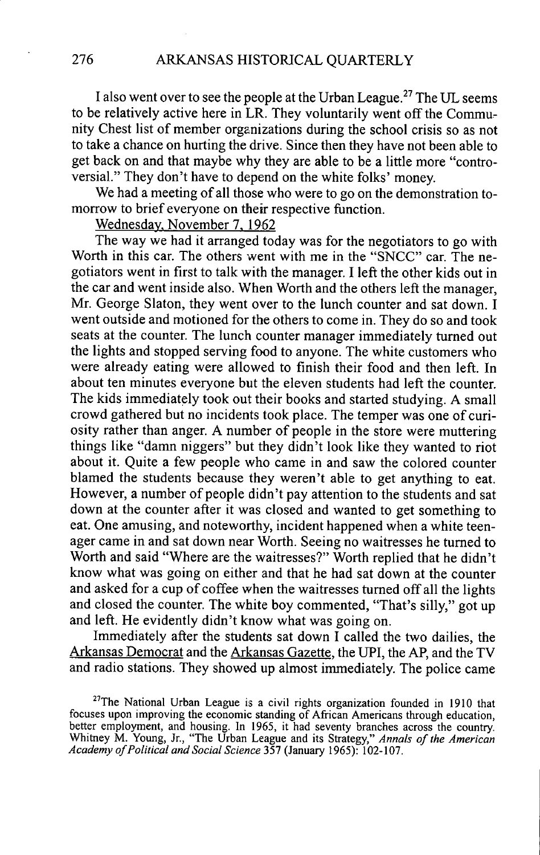I also went over to see the people at the Urban League.<sup>27</sup> The UL seems to be relatively active here in LR. They voluntarily went off the Communify Chest list of member organizations during the school crisis so as not to take a chance on hurting the drive. Since then they have not been able to get back on and that maybe why they are able to be a little more "controversial." They don't have to depend on the white folks' money.

We had a meeting of all those who were to go on the demonstration tomorrow to brief everyone on their respective function.

Wednesdav. November 7. 1962

The way we had it arranged today was for the negotiators to go with Worth in this car. The others went with me in the "SNCC" car. The negotiators went in first to talk with the manager. I left the other kids out in the car and went inside also. When Worth and the others left the manager, Mr. George Slaton, they went over to the lunch counter and sat down. I went outside and motioned for the others to come in. They do so and took seats at the counter. The lunch counter manager immediately turned out the lights and stopped serving food to anyone. The white customers who were already eating were allowed to finish their food and then left. In about ten minutes everyone but the eleven students had left the counter. The kids immediately took out their books and started studying. A small crowd gathered but no incidents took place. The temper was one of curiosify rather than anger. A number of people in the store were muttering things like "damn niggers" but they didn't look like they wanted to riot about it. Quite a few people who came in and saw the colored counter blamed the students because they weren't able to get anything to eat. However, a number of people didn't pay attention to the students and sat down at the counter after it was closed and wanted to get something to eat. One amusing, and noteworthy, incident happened when a white teenager came in and sat down near Worth. Seeing no waitresses he turned to Worth and said "Where are the waitresses?" Worth replied that he didn't know what was going on either and that he had sat down at the counter and asked for a cup of coffee when the waitresses turned off all the lights and closed the counter. The white boy commented, "That's silly," got up and left. He evidently didn't know what was going on.

Immediately after the students sat down I called the two dailies, the Arkansas Democrat and the Arkansas Gazette, the UPI, the AP, and the TV and radio stations. They showed up almost immediately. The police came

 $27$ The National Urban League is a civil rights organization founded in 1910 that focuses upon improving the economic standing of African Americans through education, better employment, and housing. In 1965, it had seventy branches across the country. Whitney M. Young, Jr., "The Urban League and its Strategy," *Annals of the American Academy of Political and Social Science 357* (January 1965): 102-107.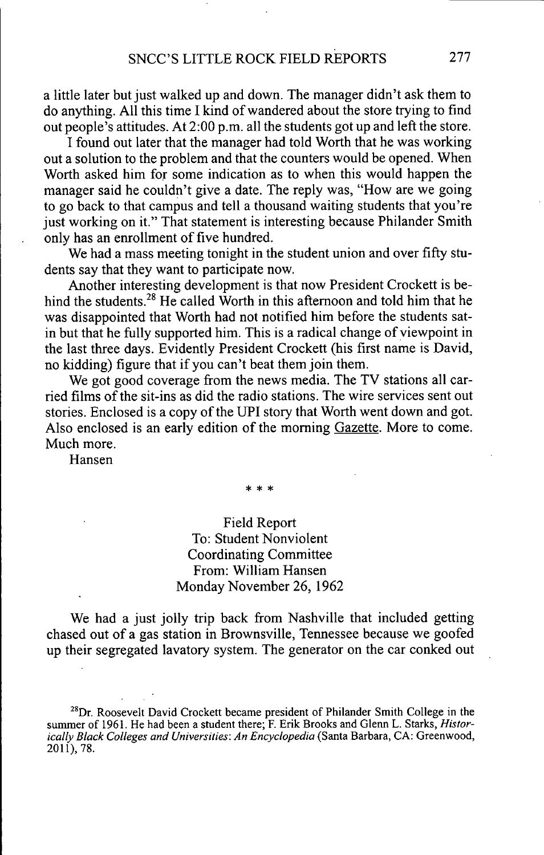a little later but just walked up and down. The manager didn't ask them to do anything. All this time I kind of wandered about the store trying to find out people's attitudes. At 2:00 p.m. all the students got up and left the store.

I found out later that the manager had told Worth that he was working out a solution to the problem and that the counters would be opened. When Worth asked him for some indication as to when this would happen the manager said he couldn't give a date. The reply was, "How are we going to go back to that campus and tell a thousand waiting students that you're just working on it." That statement is interesting because Philander Smith only has an enrollment of five hundred.

We had a mass meeting tonight in the student union and over fifty students say that they want to participate now.

Another interesting development is that now President Crockett is behind the students.<sup>28</sup> He called Worth in this afternoon and told him that he was disappointed that Worth had not notified him before the students satin but that he fully supported him. This is a radical change of viewpoint in the last three days. Evidently President Crockett (his first name is David, no kidding) figure that if you can't beat them join them.

We got good coverage from the news media. The TV stations all carried films of the sit-ins as did the radio stations. The wire services sent out stories. Enclosed is a copy of the UPI story that Worth went down and got. Also enclosed is an early edition of the moming Gazette. More to come. Much more.

Hansen

# Field Report To: Student Nonviolent Coordinating Committee From: William Hansen Monday November 26, 1962

We had a just jolly trip back from Nashville that included getting chased out of a gas station in Brownsville, Tennessee because we goofed up their segregated lavatory system. The generator on the car conked out

 $^{28}$ Dr. Roosevelt David Crockett became president of Philander Smith College in the summer of 1961. He had been a student there; F. Erik Brooks and Glenn L. Starks, *Historically Black Colleges and Universities: An Encyclopedia* (Santa Barbara, CA: Greenwood, 2011), 78.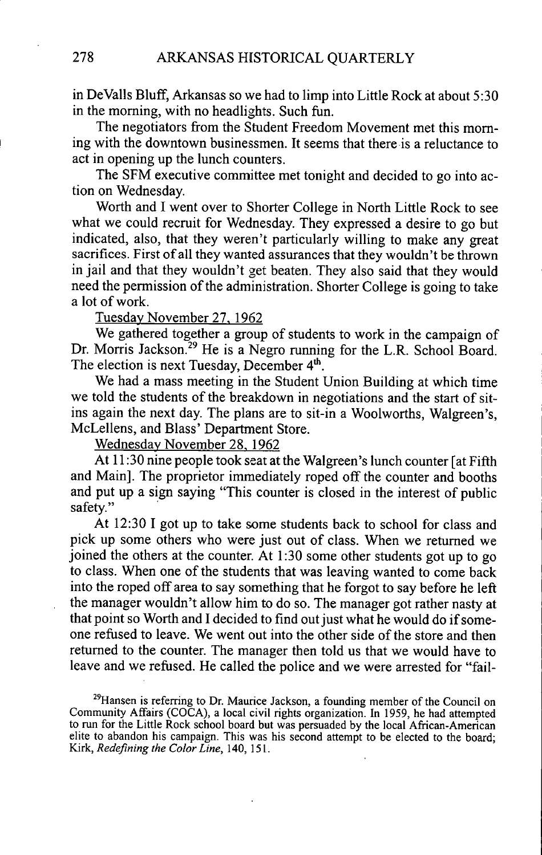in DeValls Bluff, Arkansas so we had to limp into Little Rock at about 5:30 in the moming, with no headlights. Such fun.

The negotiators from the Student Freedom Movement met this moming with the downtown businessmen. It seems that there is a reluctance to act in opening up the lunch counters.

The SFM executive committee met tonight and decided to go into action on Wednesday.

Worth and I went over to Shorter College in North Little Rock to see what we could recruit for Wednesday. They expressed a desire to go but indicated, also, that they weren't particularly willing to make any great sacrifices. First of all they wanted assurances that they wouldn't be thrown in jail and that they wouldn't get beaten. They also said that they would need the permission of the administration. Shorter College is going to take a lot of work.

Tuesdav November 27. 1962

We gathered together a group of students to work in the campaign of Dr. Morris Jackson.<sup>29</sup> He is a Negro running for the L.R. School Board. The election is next Tuesday, December  $4<sup>th</sup>$ .

We had a mass meeting in the Student Union Building at which time we told the students of the breakdown in negotiations and the start of sitins again the next day. The plans are to sit-in a Woolworths, Walgreen's, McLellens, and Blass' Department Store.

Wednesdav November 28. 1962

At 11:30 nine people took seat at the Walgreen's lunch counter [at Fifth and Main]. The proprietor immediately roped off the counter and booths and put up a sign saying "This counter is closed in the interest of public safety."

At 12:30 I got up to take some students back to school for class and pick up some others who were just out of class. When we retumed we joined the others at the counter. At 1:30 some other students got up to go to class. When one of the students that was leaving wanted to come back into the roped off area to say something that he forgot to say before he left the manager wouldn't allow him to do so. The manager got rather nasty at that point so Worth and I decided to find out just what he would do if someone refused to leave. We went out into the other side of the store and then retumed to the counter. The manager then told us that we would have to leave and we refused. He called the police and we were arrested for "fail-

 $^{29}$ Hansen is referring to Dr. Maurice Jackson, a founding member of the Council on Community Affairs (COCA), a local civil rights organization. In 1959, he had attempted to run for the Little Rock school board but was persuaded by the local African-American elite to abandon his campaign. This was his second attempt to be elected to the board; Kirk, *Redefining the Color Line,* 140, 151.